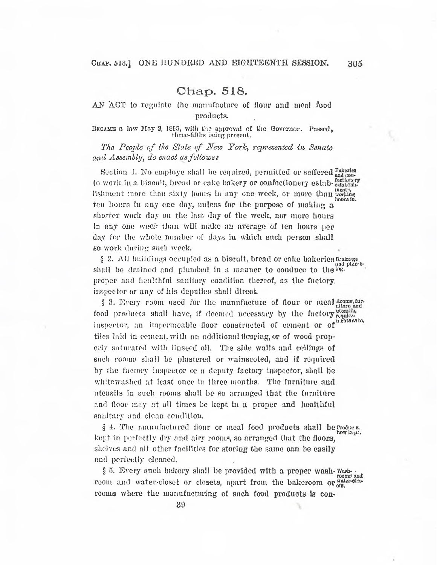## Chap. 518.

AN ACT to regulate the manufacture of flour and meal food products.

Became a law May 2, 1805, with the approval of the Governor. Passed, three-fifths being present.

*The P<sup>e</sup>ople of the State of New York, represented in Senate and Assembly, do enact asfollows:*

Section 1. No employe shall be required, permitted or suffered  $\frac{\text{Bakerles}}{\text{and } \text{con}}}$ to work in a biscuit, bread or cake bakery or confectionery estab-establishlishment more than sixty hours in any one week, or more than working hours in. ten hours in any one day, unless for the purpose of making a shorter work day on the last day of the week, nor more hours in any one week than will make an average of ten hours per day for the whole number of days in which such person shall so work during such week.

§ 2. All buildings occupied as a biscuit, bread or cake bakeries Drainags and plan bshall be drained and plumbed in a manner to conduce to the ing. proper and healthful sanitary condition thereof, as the factory, inspector or any of his deputies shall direct.

§ 3. Every room used for the manufacture of flour or meal food products shall have, if deemed necessary by the factory inspector, an impermeable <sup>f</sup>loor constructed of cement or of tiles laid in cement, with an additional flooring, or of wood properly saturated with linseed oil. The side walls and ceilings of such rooms shall be plastered or wainscoted, and if required by the factory inspector or a deputy factory inspector, shall be whitewashed at least once in three months. The furniture and utensils in such rooms shall be so arranged that the furniture and floor may at all times be kept in a proper and healthful sanitary and clean condition.

§ 4. The manufactured flour or meal food products shall be product, kept in perfectly dry and airy rooms, so arranged that the floors, shelves and all other facilities for storing the same can be easily and perfectly cleaned.

§ 5. Every such bakery shall be provided with a proper wash-washroom and water-closet or closets, apart from the bakeroom or water-closrooms where the manufacturing of such food products is con-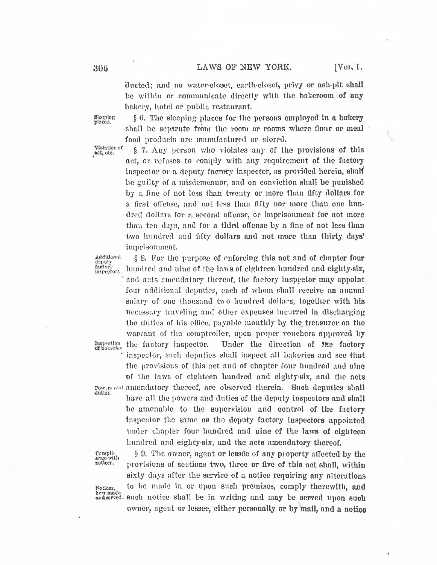$\mathcal{C}_\mu$ 

ducted; and no water-closet, earth-closet, privy or ash-pit shall be within or communicate directly with the bakeroom of any bakery, hotel or public restaurant.

Blooping: places.

§ 6. The sleeping places for the persons employed in a bakery shall be separate from the room or rooms where flour or meal food products are manufactured or stored.

Violation of act, otc.

§ 7. Any person who violates any of the provisions of this act, or refuses to comply with any requirement of the factory inspector or a deputy factory inspector, as provided herein, shall be guilty of a misdemeanor, and on conviction shall be punished by a fine of not less than twenty or more than fifty dollars for a first offense, and not less than fifty nor more than one hundred dollars for a second offense, or imprisonment for not more than ten days, and for a third offense by a fine of not loss than two hundred and fifty dollars and not more than thirty days' imprisonment

§ 8 For the purpose of enforcing this act and of chapter four

Additional<br>deputy factor

 hundred and nine of the lavs of eighteen hundred and eighty-six, **Inspectors**, inhurbed and uine of the must of eighteen numered and eighty-six,<br>and acts amendatory thereof, the factory inspector may appoint four additional deputies, each of whom shall receive an annual salary of one thousand two hundred dollars, together with his necessary traveling and other expeuses incurred in discharging the duties of his office, payable monthly by the treasurer on the luties of his office, payable monthly by the treasurer on the<br>ant of the comptroller, upon proper vouchers approved by<br>factory inspector. Under the direction of the factory<br>refer such dopping shall inspect all beforing and warrant of the comptroller, upon proper vouchers approved b<sup>y</sup> Inspection of bakerles inspector, such deputies shall inspect all bakeries and see that the provisions of this act and of chapter four hundred and nine of the laws of eighteen hundred and eighty-six, and the acts Powers and amendatory thereof, are observed therein. Such deputies shall have all the powers and duties of the deputy inspectors and shall be amenable to the supervision and control of the factory Inspector the same as the deputy factory inspectors appointed under chapter four hundred and nine of th<sup>e</sup> law<sup>s</sup> of eighteen hundred and eighty-six, and the acts amendatory thereof.

§ 9. The owner, agent or lessee of any property affected by the  $\frac{\text{compl}}{\text{area with}}$  S 9. The owner, agent or lessee of any property affected by the second provisions of sections two, three or five of this act shall, within sixty days after the service of a notice requiring any alterations Noticos, to be made in or upon such premises, comply therewith, and hoy made<br>and served, such notice shall be in writing and may be served upon such such notice shall be in writing and may be served upon such owner, agent or lessee, either personally or by mail, and a notice